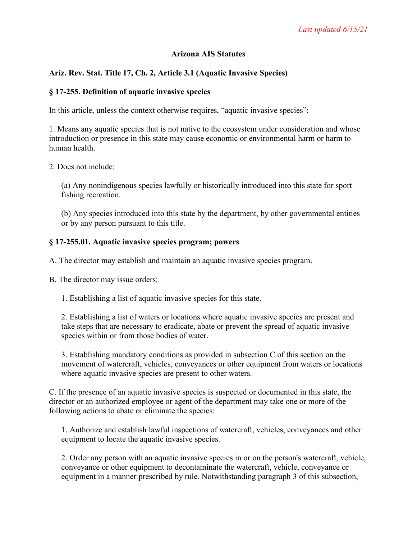#### **Arizona AIS Statutes**

# **Ariz. Rev. Stat. Title 17, Ch. 2, Article 3.1 (Aquatic Invasive Species)**

#### **§ 17-255. Definition of aquatic invasive species**

In this article, unless the context otherwise requires, "aquatic invasive species":

1. Means any aquatic species that is not native to the ecosystem under consideration and whose introduction or presence in this state may cause economic or environmental harm or harm to human health.

2. Does not include:

(a) Any nonindigenous species lawfully or historically introduced into this state for sport fishing recreation.

(b) Any species introduced into this state by the department, by other governmental entities or by any person pursuant to this title.

#### **§ 17-255.01. Aquatic invasive species program; powers**

A. The director may establish and maintain an aquatic invasive species program.

B. The director may issue orders:

1. Establishing a list of aquatic invasive species for this state.

2. Establishing a list of waters or locations where aquatic invasive species are present and take steps that are necessary to eradicate, abate or prevent the spread of aquatic invasive species within or from those bodies of water.

3. Establishing mandatory conditions as provided in subsection C of this section on the movement of watercraft, vehicles, conveyances or other equipment from waters or locations where aquatic invasive species are present to other waters.

C. If the presence of an aquatic invasive species is suspected or documented in this state, the director or an authorized employee or agent of the department may take one or more of the following actions to abate or eliminate the species:

1. Authorize and establish lawful inspections of watercraft, vehicles, conveyances and other equipment to locate the aquatic invasive species.

2. Order any person with an aquatic invasive species in or on the person's watercraft, vehicle, conveyance or other equipment to decontaminate the watercraft, vehicle, conveyance or equipment in a manner prescribed by rule. Notwithstanding paragraph 3 of this subsection,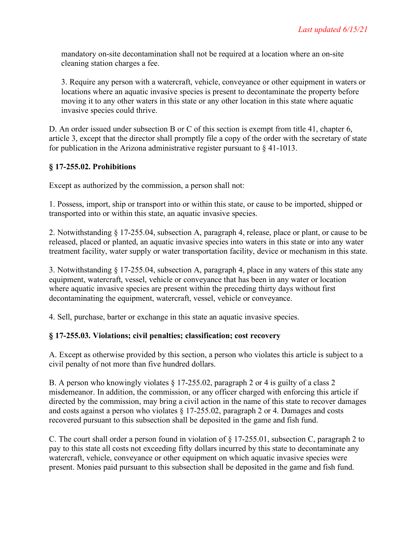mandatory on-site decontamination shall not be required at a location where an on-site cleaning station charges a fee.

3. Require any person with a watercraft, vehicle, conveyance or other equipment in waters or locations where an aquatic invasive species is present to decontaminate the property before moving it to any other waters in this state or any other location in this state where aquatic invasive species could thrive.

D. An order issued under subsection B or C of this section is exempt from title 41, chapter 6, article 3, except that the director shall promptly file a copy of the order with the secretary of state for publication in the Arizona administrative register pursuant to  $\S$  41-1013.

# **§ 17-255.02. Prohibitions**

Except as authorized by the commission, a person shall not:

1. Possess, import, ship or transport into or within this state, or cause to be imported, shipped or transported into or within this state, an aquatic invasive species.

2. Notwithstanding § 17-255.04, subsection A, paragraph 4, release, place or plant, or cause to be released, placed or planted, an aquatic invasive species into waters in this state or into any water treatment facility, water supply or water transportation facility, device or mechanism in this state.

3. Notwithstanding § 17-255.04, subsection A, paragraph 4, place in any waters of this state any equipment, watercraft, vessel, vehicle or conveyance that has been in any water or location where aquatic invasive species are present within the preceding thirty days without first decontaminating the equipment, watercraft, vessel, vehicle or conveyance.

4. Sell, purchase, barter or exchange in this state an aquatic invasive species.

# **§ 17-255.03. Violations; civil penalties; classification; cost recovery**

A. Except as otherwise provided by this section, a person who violates this article is subject to a civil penalty of not more than five hundred dollars.

B. A person who knowingly violates  $\S 17-255.02$ , paragraph 2 or 4 is guilty of a class 2 misdemeanor. In addition, the commission, or any officer charged with enforcing this article if directed by the commission, may bring a civil action in the name of this state to recover damages and costs against a person who violates § 17-255.02, paragraph 2 or 4. Damages and costs recovered pursuant to this subsection shall be deposited in the game and fish fund.

C. The court shall order a person found in violation of § 17-255.01, subsection C, paragraph 2 to pay to this state all costs not exceeding fifty dollars incurred by this state to decontaminate any watercraft, vehicle, conveyance or other equipment on which aquatic invasive species were present. Monies paid pursuant to this subsection shall be deposited in the game and fish fund.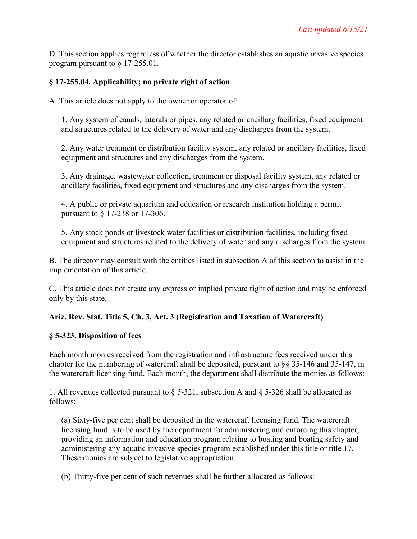D. This section applies regardless of whether the director establishes an aquatic invasive species program pursuant to § 17-255.01.

# **§ 17-255.04. Applicability; no private right of action**

A. This article does not apply to the owner or operator of:

1. Any system of canals, laterals or pipes, any related or ancillary facilities, fixed equipment and structures related to the delivery of water and any discharges from the system.

2. Any water treatment or distribution facility system, any related or ancillary facilities, fixed equipment and structures and any discharges from the system.

3. Any drainage, wastewater collection, treatment or disposal facility system, any related or ancillary facilities, fixed equipment and structures and any discharges from the system.

4. A public or private aquarium and education or research institution holding a permit pursuant to § 17-238 or 17-306.

5. Any stock ponds or livestock water facilities or distribution facilities, including fixed equipment and structures related to the delivery of water and any discharges from the system.

B. The director may consult with the entities listed in subsection A of this section to assist in the implementation of this article.

C. This article does not create any express or implied private right of action and may be enforced only by this state.

# **Ariz. Rev. Stat. Title 5, Ch. 3, Art. 3 (Registration and Taxation of Watercraft)**

# **§ 5-323. Disposition of fees**

Each month monies received from the registration and infrastructure fees received under this chapter for the numbering of watercraft shall be deposited, pursuant to §§ 35-146 and 35-147, in the watercraft licensing fund. Each month, the department shall distribute the monies as follows:

1. All revenues collected pursuant to § 5-321, subsection A and § 5-326 shall be allocated as follows:

(a) Sixty-five per cent shall be deposited in the watercraft licensing fund. The watercraft licensing fund is to be used by the department for administering and enforcing this chapter, providing an information and education program relating to boating and boating safety and administering any aquatic invasive species program established under this title or title 17. These monies are subject to legislative appropriation.

(b) Thirty-five per cent of such revenues shall be further allocated as follows: